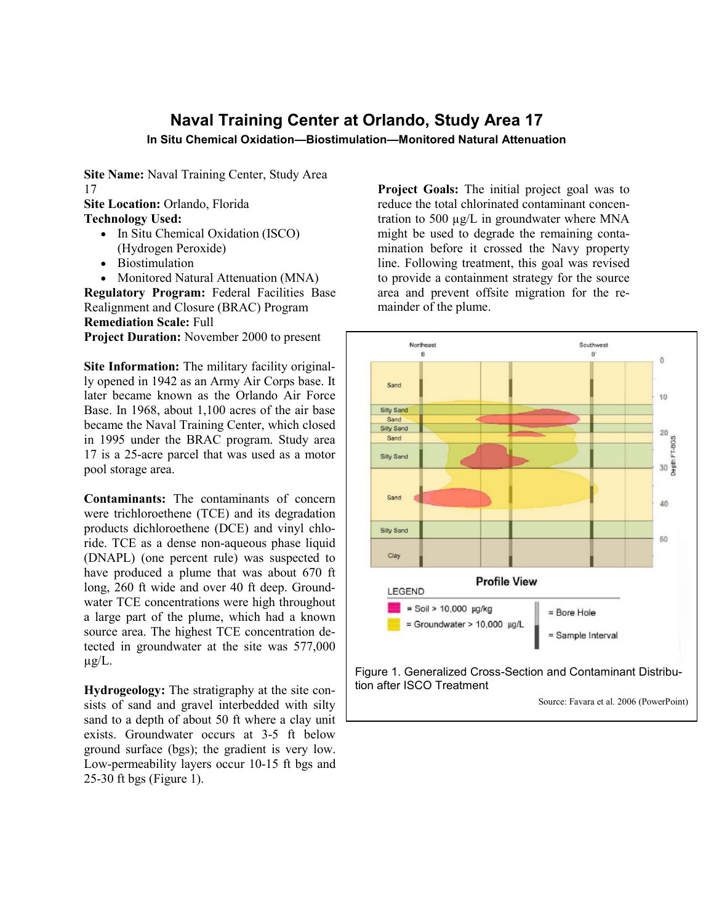## **Naval Training Center at Orlando, Study Area 17**

**In Situ Chemical Oxidation—Biostimulation—Monitored Natural Attenuation**

**Site Name:** Naval Training Center, Study Area 17

**Site Location:** Orlando, Florida

**Technology Used:**

- In Situ Chemical Oxidation (ISCO) (Hydrogen Peroxide)
- Biostimulation
- Monitored Natural Attenuation (MNA)

**Regulatory Program:** Federal Facilities Base Realignment and Closure (BRAC) Program **Remediation Scale:** Full

**Project Duration:** November 2000 to present

**Site Information:** The military facility originally opened in 1942 as an Army Air Corps base. It later became known as the Orlando Air Force Base. In 1968, about 1,100 acres of the air base became the Naval Training Center, which closed in 1995 under the BRAC program. Study area 17 is a 25-acre parcel that was used as a motor pool storage area.

**Contaminants:** The contaminants of concern were trichloroethene (TCE) and its degradation products dichloroethene (DCE) and vinyl chloride. TCE as a dense non-aqueous phase liquid (DNAPL) (one percent rule) was suspected to have produced a plume that was about 670 ft long, 260 ft wide and over 40 ft deep. Groundwater TCE concentrations were high throughout a large part of the plume, which had a known source area. The highest TCE concentration detected in groundwater at the site was 577,000  $\mu$ g/L.

**Hydrogeology:** The stratigraphy at the site consists of sand and gravel interbedded with silty sand to a depth of about 50 ft where a clay unit exists. Groundwater occurs at 3-5 ft below ground surface (bgs); the gradient is very low. Low-permeability layers occur 10-15 ft bgs and 25-30 ft bgs (Figure 1).

**Project Goals:** The initial project goal was to reduce the total chlorinated contaminant concentration to 500 µg/L in groundwater where MNA might be used to degrade the remaining contamination before it crossed the Navy property line. Following treatment, this goal was revised to provide a containment strategy for the source area and prevent offsite migration for the remainder of the plume.



Source: Favara et al. 2006 (PowerPoint)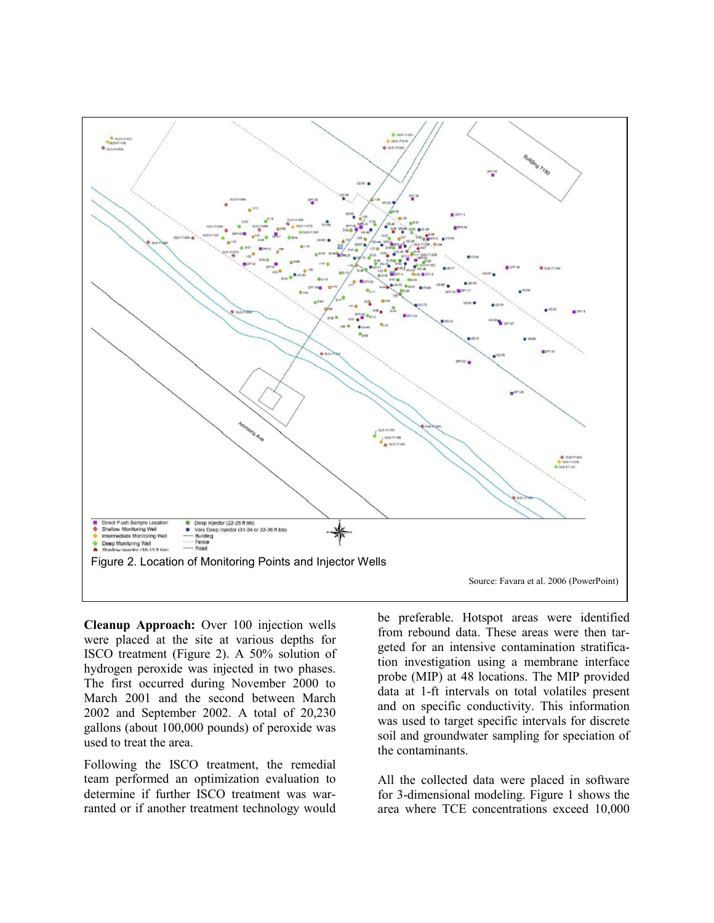

**Cleanup Approach:** Over 100 injection wells were placed at the site at various depths for ISCO treatment (Figure 2). A 50% solution of hydrogen peroxide was injected in two phases. The first occurred during November 2000 to March 2001 and the second between March 2002 and September 2002. A total of 20,230 gallons (about 100,000 pounds) of peroxide was used to treat the area.

Following the ISCO treatment, the remedial team performed an optimization evaluation to determine if further ISCO treatment was warranted or if another treatment technology would be preferable. Hotspot areas were identified from rebound data. These areas were then targeted for an intensive contamination stratification investigation using a membrane interface probe (MIP) at 48 locations. The MIP provided data at 1-ft intervals on total volatiles present and on specific conductivity. This information was used to target specific intervals for discrete soil and groundwater sampling for speciation of the contaminants.

All the collected data were placed in software for 3-dimensional modeling. Figure 1 shows the area where TCE concentrations exceed 10,000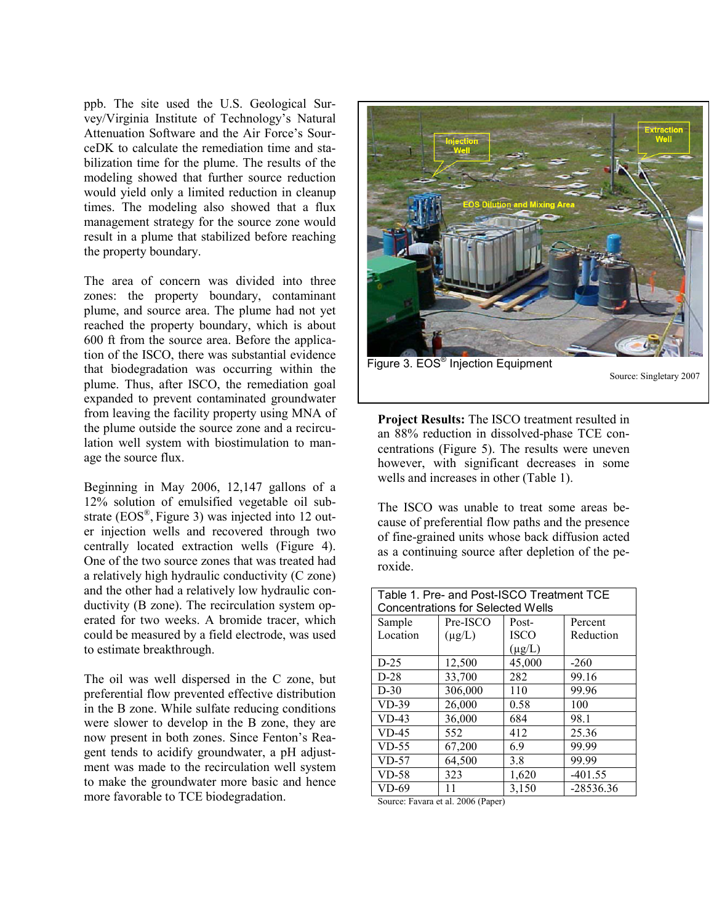ppb. The site used the U.S. Geological Survey/Virginia Institute of Technology's Natural Attenuation Software and the Air Force's SourceDK to calculate the remediation time and stabilization time for the plume. The results of the modeling showed that further source reduction would yield only a limited reduction in cleanup times. The modeling also showed that a flux management strategy for the source zone would result in a plume that stabilized before reaching the property boundary.

The area of concern was divided into three zones: the property boundary, contaminant plume, and source area. The plume had not yet reached the property boundary, which is about 600 ft from the source area. Before the application of the ISCO, there was substantial evidence that biodegradation was occurring within the plume. Thus, after ISCO, the remediation goal expanded to prevent contaminated groundwater from leaving the facility property using MNA of the plume outside the source zone and a recirculation well system with biostimulation to manage the source flux.

Beginning in May 2006, 12,147 gallons of a 12% solution of emulsified vegetable oil substrate (EOS®, Figure 3) was injected into 12 outer injection wells and recovered through two centrally located extraction wells (Figure 4). One of the two source zones that was treated had a relatively high hydraulic conductivity (C zone) and the other had a relatively low hydraulic conductivity (B zone). The recirculation system operated for two weeks. A bromide tracer, which could be measured by a field electrode, was used to estimate breakthrough.

The oil was well dispersed in the C zone, but preferential flow prevented effective distribution in the B zone. While sulfate reducing conditions were slower to develop in the B zone, they are now present in both zones. Since Fenton's Reagent tends to acidify groundwater, a pH adjustment was made to the recirculation well system to make the groundwater more basic and hence more favorable to TCE biodegradation.



Figure 3. EOS® Injection Equipment

Source: Singletary 2007

**Project Results:** The ISCO treatment resulted in an 88% reduction in dissolved-phase TCE concentrations (Figure 5). The results were uneven however, with significant decreases in some wells and increases in other (Table 1).

The ISCO was unable to treat some areas because of preferential flow paths and the presence of fine-grained units whose back diffusion acted as a continuing source after depletion of the peroxide.

| Table 1. Pre- and Post-ISCO Treatment TCE |             |             |             |  |
|-------------------------------------------|-------------|-------------|-------------|--|
| <b>Concentrations for Selected Wells</b>  |             |             |             |  |
| Sample                                    | Pre-ISCO    | Post-       | Percent     |  |
| Location                                  | $(\mu g/L)$ | <b>ISCO</b> | Reduction   |  |
|                                           |             | $(\mu g/L)$ |             |  |
| $D-25$                                    | 12,500      | 45,000      | $-260$      |  |
| $D-28$                                    | 33,700      | 282         | 99.16       |  |
| $D-30$                                    | 306,000     | 110         | 99.96       |  |
| $VD-39$                                   | 26,000      | 0.58        | 100         |  |
| $VD-43$                                   | 36,000      | 684         | 98.1        |  |
| $VD-45$                                   | 552         | 412         | 25.36       |  |
| $VD-55$                                   | 67,200      | 6.9         | 99.99       |  |
| $VD-57$                                   | 64,500      | 3.8         | 99.99       |  |
| $VD-58$                                   | 323         | 1,620       | $-401.55$   |  |
| $VD-69$                                   | 11          | 3,150       | $-28536.36$ |  |

Source: Favara et al. 2006 (Paper)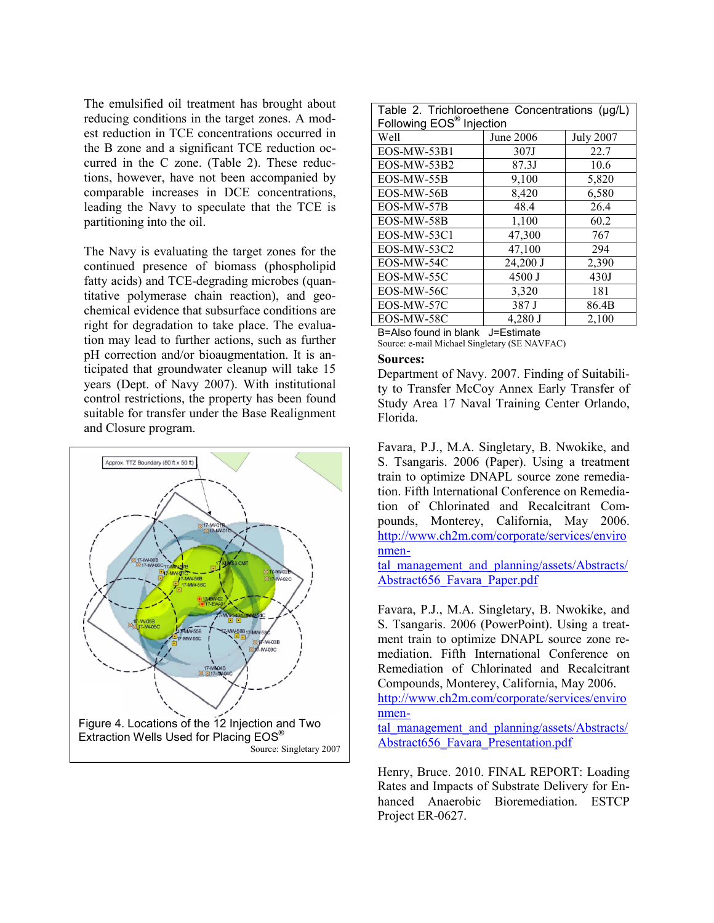The emulsified oil treatment has brought about reducing conditions in the target zones. A modest reduction in TCE concentrations occurred in the B zone and a significant TCE reduction occurred in the C zone. (Table 2). These reductions, however, have not been accompanied by comparable increases in DCE concentrations, leading the Navy to speculate that the TCE is partitioning into the oil.

The Navy is evaluating the target zones for the continued presence of biomass (phospholipid fatty acids) and TCE-degrading microbes (quantitative polymerase chain reaction), and geochemical evidence that subsurface conditions are right for degradation to take place. The evaluation may lead to further actions, such as further pH correction and/or bioaugmentation. It is anticipated that groundwater cleanup will take 15 years (Dept. of Navy 2007). With institutional control restrictions, the property has been found suitable for transfer under the Base Realignment and Closure program.



| Table 2. Trichloroethene Concentrations (µg/L)<br>Following EOS <sup>®</sup> Injection |           |                  |  |  |
|----------------------------------------------------------------------------------------|-----------|------------------|--|--|
| Well                                                                                   | June 2006 | <b>July 2007</b> |  |  |
| EOS-MW-53B1                                                                            | 307J      | 22.7             |  |  |
| EOS-MW-53B2                                                                            | 87.3J     | 10.6             |  |  |
| EOS-MW-55B                                                                             | 9,100     | 5,820            |  |  |
| EOS-MW-56B                                                                             | 8,420     | 6,580            |  |  |
| EOS-MW-57B                                                                             | 48.4      | 26.4             |  |  |
| EOS-MW-58B                                                                             | 1,100     | 60.2             |  |  |
| EOS-MW-53C1                                                                            | 47,300    | 767              |  |  |
| EOS-MW-53C2                                                                            | 47,100    | 294              |  |  |
| EOS-MW-54C                                                                             | 24,200 J  | 2,390            |  |  |
| EOS-MW-55C                                                                             | 4500 J    | 430J             |  |  |
| EOS-MW-56C                                                                             | 3,320     | 181              |  |  |
| EOS-MW-57C                                                                             | 387 J     | 86.4B            |  |  |
| EOS-MW-58C                                                                             | 4,280 J   | 2,100            |  |  |

B=Also found in blank J=Estimate Source: e-mail Michael Singletary (SE NAVFAC)

## **Sources:**

Department of Navy. 2007. Finding of Suitability to Transfer McCoy Annex Early Transfer of Study Area 17 Naval Training Center Orlando, Florida.

Favara, P.J., M.A. Singletary, B. Nwokike, and S. Tsangaris. 2006 (Paper). Using a treatment train to optimize DNAPL source zone remediation. Fifth International Conference on Remediation of Chlorinated and Recalcitrant Compounds, Monterey, California, May 2006[.](http://www.ch2m.com/corporate/services/environmental_management_and_planning/assets/Abstracts/Abstract656_Favara_Paper.pdf)  [http://www.ch2m.com/corporate/services/enviro](http://www.ch2m.com/corporate/services/environmental_management_and_planning/assets/Abstracts/Abstract656_Favara_Paper.pdf) [nmen-](http://www.ch2m.com/corporate/services/environmental_management_and_planning/assets/Abstracts/Abstract656_Favara_Paper.pdf)

[tal\\_management\\_and\\_planning/assets/Abstracts/](http://www.ch2m.com/corporate/services/environmental_management_and_planning/assets/Abstracts/Abstract656_Favara_Paper.pdf) [Abstract656\\_Favara\\_Paper.pdf](http://www.ch2m.com/corporate/services/environmental_management_and_planning/assets/Abstracts/Abstract656_Favara_Paper.pdf) 

Favara, P.J., M.A. Singletary, B. Nwokike, and S. Tsangaris. 2006 (PowerPoint). Using a treatment train to optimize DNAPL source zone remediation. Fifth International Conference on Remediation of Chlorinated and Recalcitrant Compounds, Monterey, California, May 2006.

[http://www.ch2m.com/corporate/services/enviro](http://www.ch2m.com/corporate/services/environmental_management_and_planning/assets/Abstracts/Abstract656_Favara_Presentation.pdf) [nmen-](http://www.ch2m.com/corporate/services/environmental_management_and_planning/assets/Abstracts/Abstract656_Favara_Presentation.pdf)

tal management and planning/assets/Abstracts/ [Abstract656\\_Favara\\_Presentation.pdf](http://www.ch2m.com/corporate/services/environmental_management_and_planning/assets/Abstracts/Abstract656_Favara_Presentation.pdf)

Henry, Bruce. 2010. FINAL REPORT: Loading Rates and Impacts of Substrate Delivery for Enhanced Anaerobic Bioremediation. ESTCP Project ER-0627.